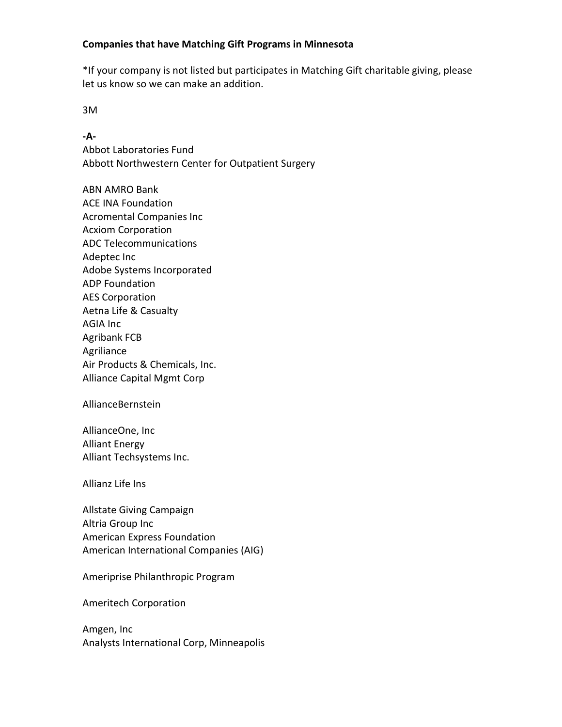## **Companies that have Matching Gift Programs in Minnesota**

\*If your company is not listed but participates in Matching Gift charitable giving, please let us know so we can make an addition.

3M

# **-A-**

Abbot Laboratories Fund Abbott Northwestern Center for Outpatient Surgery

ABN AMRO Bank ACE INA Foundation Acromental Companies Inc Acxiom Corporation ADC Telecommunications Adeptec Inc Adobe Systems Incorporated ADP Foundation AES Corporation Aetna Life & Casualty AGIA Inc Agribank FCB Agriliance Air Products & Chemicals, Inc. Alliance Capital Mgmt Corp

AllianceBernstein

AllianceOne, Inc Alliant Energy Alliant Techsystems Inc.

Allianz Life Ins

Allstate Giving Campaign Altria Group Inc American Express Foundation American International Companies (AIG)

Ameriprise Philanthropic Program

Ameritech Corporation

Amgen, Inc Analysts International Corp, Minneapolis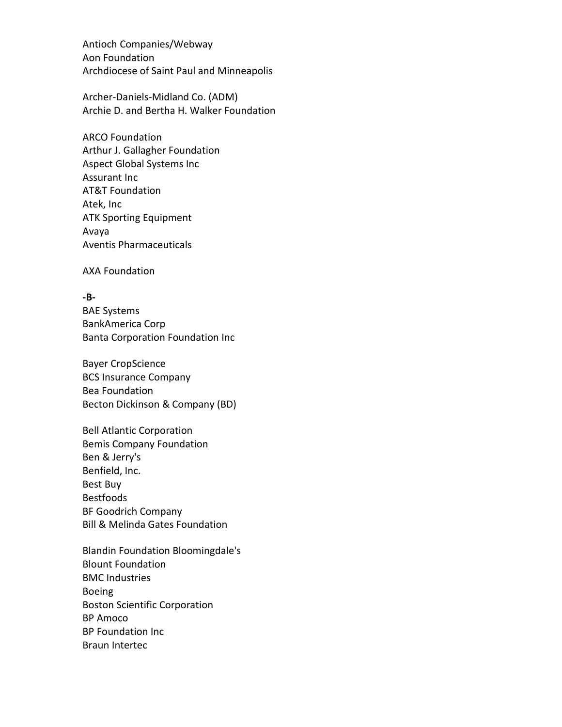Antioch Companies/Webway Aon Foundation Archdiocese of Saint Paul and Minneapolis

Archer-Daniels-Midland Co. (ADM) Archie D. and Bertha H. Walker Foundation

ARCO Foundation Arthur J. Gallagher Foundation Aspect Global Systems Inc Assurant Inc AT&T Foundation Atek, Inc ATK Sporting Equipment Avaya Aventis Pharmaceuticals

AXA Foundation

## **-B-**

BAE Systems BankAmerica Corp Banta Corporation Foundation Inc

Bayer CropScience BCS Insurance Company Bea Foundation Becton Dickinson & Company (BD)

Bell Atlantic Corporation Bemis Company Foundation Ben & Jerry's Benfield, Inc. Best Buy Bestfoods BF Goodrich Company Bill & Melinda Gates Foundation

Blandin Foundation Bloomingdale's Blount Foundation BMC Industries Boeing Boston Scientific Corporation BP Amoco BP Foundation Inc Braun Intertec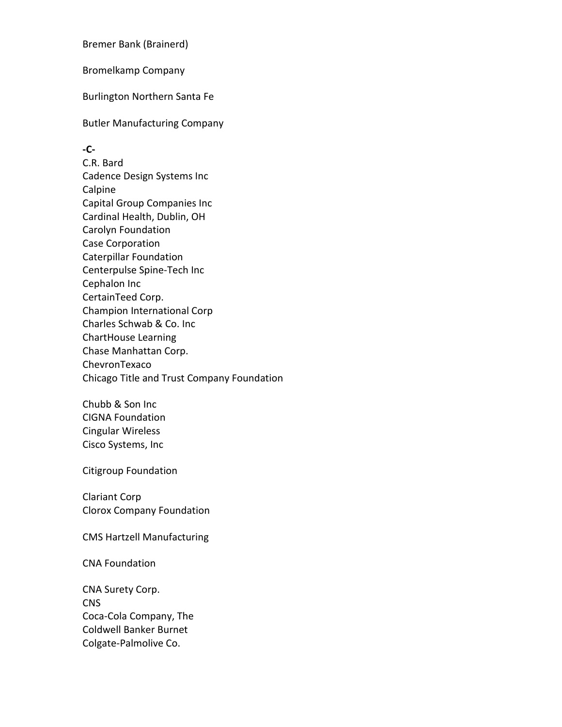Bremer Bank (Brainerd)

Bromelkamp Company

Burlington Northern Santa Fe

Butler Manufacturing Company

### **-C-**

C.R. Bard Cadence Design Systems Inc Calpine Capital Group Companies Inc Cardinal Health, Dublin, OH Carolyn Foundation Case Corporation Caterpillar Foundation Centerpulse Spine-Tech Inc Cephalon Inc CertainTeed Corp. Champion International Corp Charles Schwab & Co. Inc ChartHouse Learning Chase Manhattan Corp. ChevronTexaco Chicago Title and Trust Company Foundation

Chubb & Son Inc CIGNA Foundation Cingular Wireless Cisco Systems, Inc

Citigroup Foundation

Clariant Corp Clorox Company Foundation

CMS Hartzell Manufacturing

CNA Foundation

CNA Surety Corp. CNS Coca-Cola Company, The Coldwell Banker Burnet Colgate-Palmolive Co.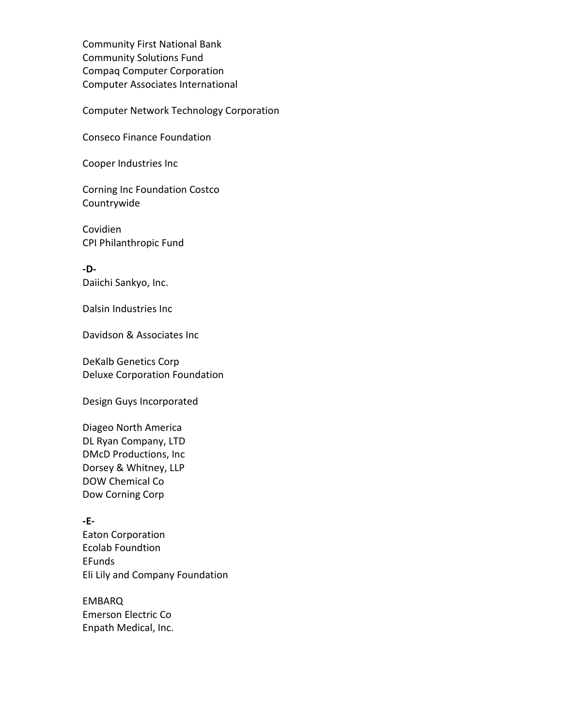Community First National Bank Community Solutions Fund Compaq Computer Corporation Computer Associates International

Computer Network Technology Corporation

Conseco Finance Foundation

Cooper Industries Inc

Corning Inc Foundation Costco Countrywide

Covidien CPI Philanthropic Fund

**-D-**Daiichi Sankyo, Inc.

Dalsin Industries Inc

Davidson & Associates Inc

DeKalb Genetics Corp Deluxe Corporation Foundation

Design Guys Incorporated

Diageo North America DL Ryan Company, LTD DMcD Productions, Inc Dorsey & Whitney, LLP DOW Chemical Co Dow Corning Corp

**-E-**

Eaton Corporation Ecolab Foundtion EFunds Eli Lily and Company Foundation

EMBARQ

Emerson Electric Co Enpath Medical, Inc.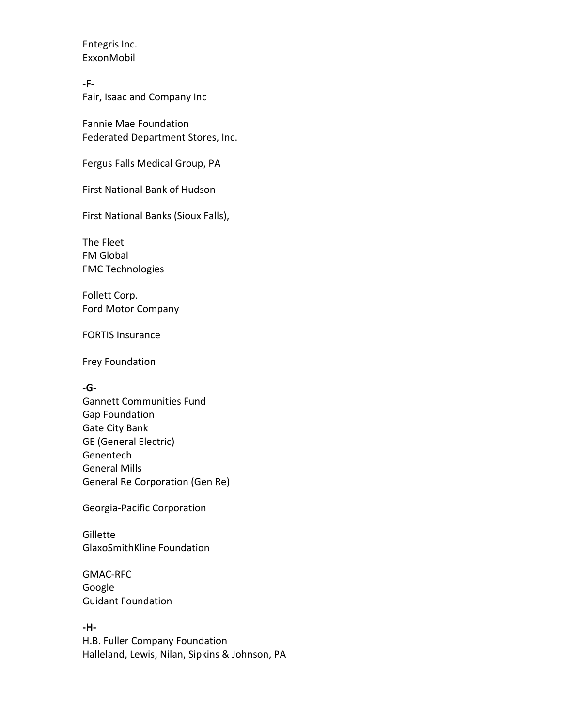Entegris Inc. ExxonMobil

**-F-**Fair, Isaac and Company Inc

Fannie Mae Foundation Federated Department Stores, Inc.

Fergus Falls Medical Group, PA

First National Bank of Hudson

First National Banks (Sioux Falls),

The Fleet FM Global FMC Technologies

Follett Corp. Ford Motor Company

FORTIS Insurance

Frey Foundation

## **-G-**

Gannett Communities Fund Gap Foundation Gate City Bank GE (General Electric) Genentech General Mills General Re Corporation (Gen Re)

Georgia-Pacific Corporation

**Gillette** GlaxoSmithKline Foundation

GMAC-RFC Google Guidant Foundation

# **-H-**

H.B. Fuller Company Foundation Halleland, Lewis, Nilan, Sipkins & Johnson, PA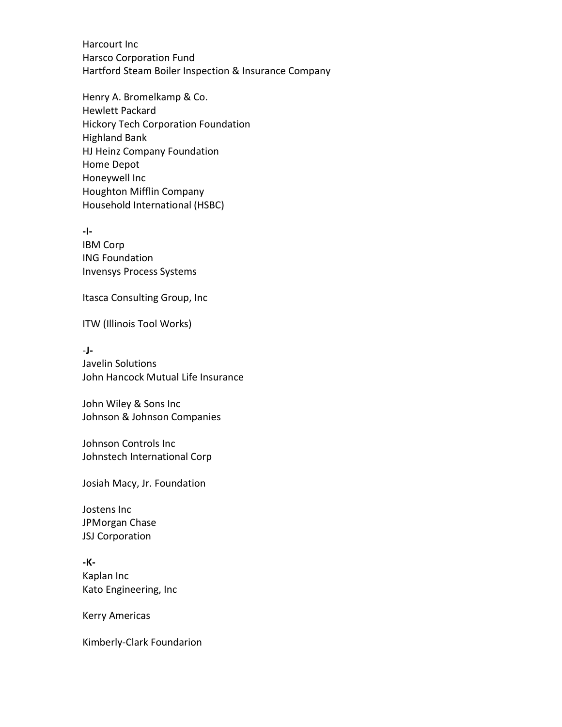Harcourt Inc Harsco Corporation Fund Hartford Steam Boiler Inspection & Insurance Company

Henry A. Bromelkamp & Co. Hewlett Packard Hickory Tech Corporation Foundation Highland Bank HJ Heinz Company Foundation Home Depot Honeywell Inc Houghton Mifflin Company Household International (HSBC)

**-I-**IBM Corp ING Foundation Invensys Process Systems

Itasca Consulting Group, Inc

ITW (Illinois Tool Works)

-**J-**Javelin Solutions John Hancock Mutual Life Insurance

John Wiley & Sons Inc Johnson & Johnson Companies

Johnson Controls Inc Johnstech International Corp

Josiah Macy, Jr. Foundation

Jostens Inc JPMorgan Chase JSJ Corporation

**-K-**Kaplan Inc Kato Engineering, Inc

Kerry Americas

Kimberly-Clark Foundarion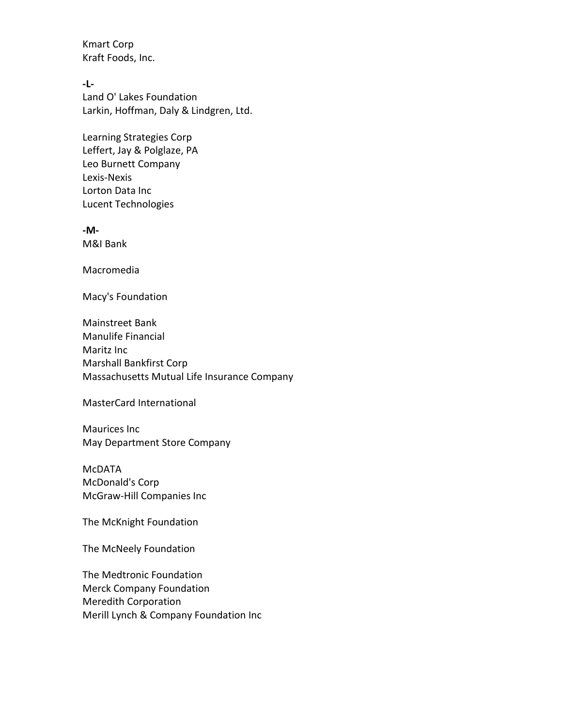Kmart Corp Kraft Foods, Inc.

**-L-**Land O' Lakes Foundation Larkin, Hoffman, Daly & Lindgren, Ltd.

Learning Strategies Corp Leffert, Jay & Polglaze, PA Leo Burnett Company Lexis-Nexis Lorton Data Inc Lucent Technologies

**-M-**M&I Bank

Macromedia

Macy's Foundation

Mainstreet Bank Manulife Financial Maritz Inc Marshall Bankfirst Corp Massachusetts Mutual Life Insurance Company

MasterCard International

Maurices Inc May Department Store Company

McDATA McDonald's Corp McGraw-Hill Companies Inc

The McKnight Foundation

The McNeely Foundation

The Medtronic Foundation Merck Company Foundation Meredith Corporation Merill Lynch & Company Foundation Inc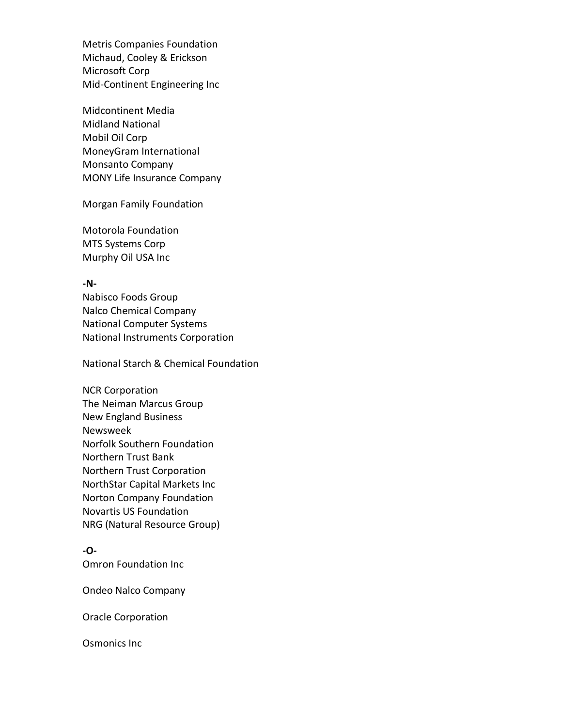Metris Companies Foundation Michaud, Cooley & Erickson Microsoft Corp Mid-Continent Engineering Inc

Midcontinent Media Midland National Mobil Oil Corp MoneyGram International Monsanto Company MONY Life Insurance Company

Morgan Family Foundation

Motorola Foundation MTS Systems Corp Murphy Oil USA Inc

## **-N-**

Nabisco Foods Group Nalco Chemical Company National Computer Systems National Instruments Corporation

National Starch & Chemical Foundation

NCR Corporation The Neiman Marcus Group New England Business Newsweek Norfolk Southern Foundation Northern Trust Bank Northern Trust Corporation NorthStar Capital Markets Inc Norton Company Foundation Novartis US Foundation NRG (Natural Resource Group)

# **-O-**

Omron Foundation Inc

Ondeo Nalco Company

Oracle Corporation

Osmonics Inc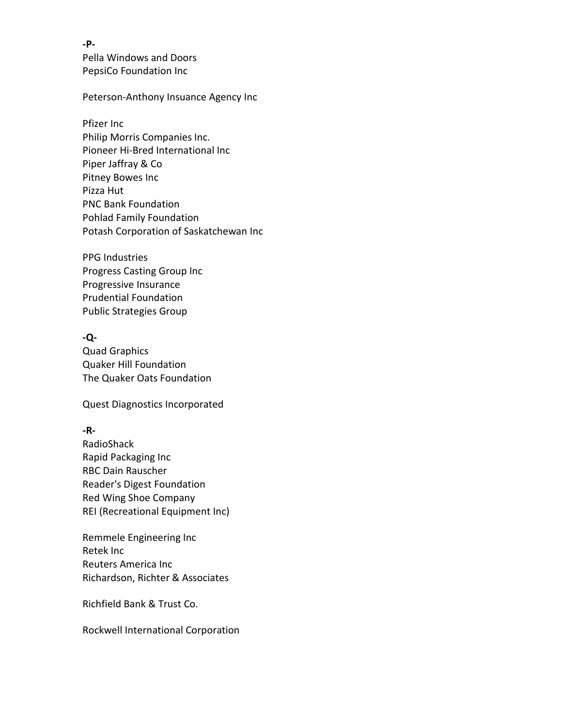### **-P-**

Pella Windows and Doors PepsiCo Foundation Inc

### Peterson-Anthony Insuance Agency Inc

Pfizer Inc Philip Morris Companies Inc. Pioneer Hi-Bred International Inc Piper Jaffray & Co Pitney Bowes Inc Pizza Hut PNC Bank Foundation Pohlad Family Foundation Potash Corporation of Saskatchewan Inc

PPG Industries Progress Casting Group Inc Progressive Insurance Prudential Foundation Public Strategies Group

# **-Q-**

Quad Graphics Quaker Hill Foundation The Quaker Oats Foundation

Quest Diagnostics Incorporated

# **-R-**

RadioShack Rapid Packaging Inc RBC Dain Rauscher Reader's Digest Foundation Red Wing Shoe Company REI (Recreational Equipment Inc)

Remmele Engineering Inc Retek Inc Reuters America Inc Richardson, Richter & Associates

Richfield Bank & Trust Co.

Rockwell International Corporation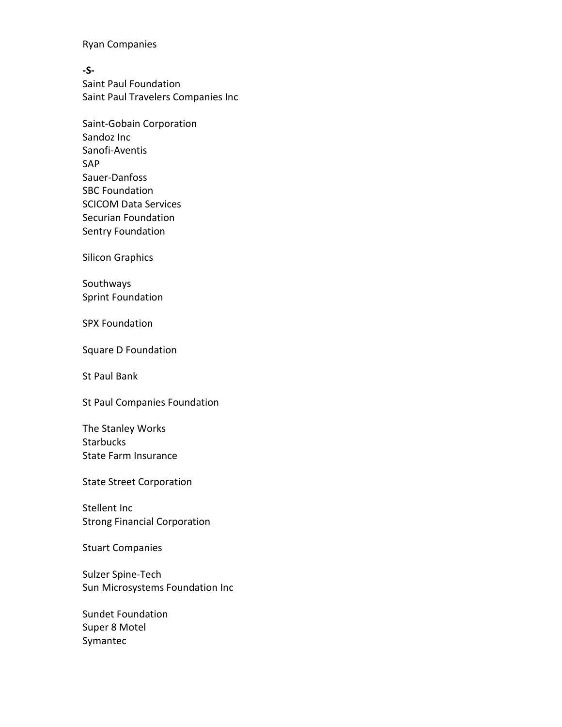Ryan Companies

# **-S-**

Saint Paul Foundation Saint Paul Travelers Companies Inc

Saint-Gobain Corporation Sandoz Inc Sanofi-Aventis SAP Sauer-Danfoss SBC Foundation SCICOM Data Services Securian Foundation Sentry Foundation

Silicon Graphics

Southways Sprint Foundation

SPX Foundation

Square D Foundation

St Paul Bank

St Paul Companies Foundation

The Stanley Works **Starbucks** State Farm Insurance

State Street Corporation

Stellent Inc Strong Financial Corporation

Stuart Companies

Sulzer Spine-Tech Sun Microsystems Foundation Inc

Sundet Foundation Super 8 Motel Symantec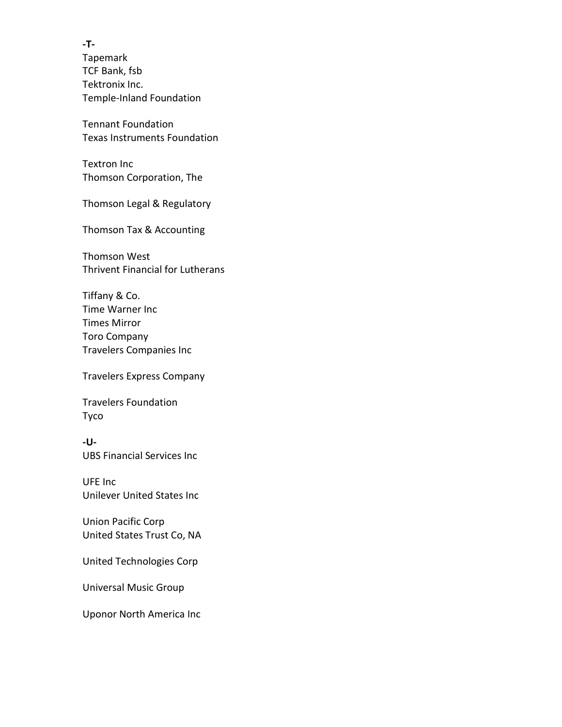**-T-**Tapemark TCF Bank, fsb Tektronix Inc. Temple-Inland Foundation

Tennant Foundation Texas Instruments Foundation

Textron Inc Thomson Corporation, The

Thomson Legal & Regulatory

Thomson Tax & Accounting

Thomson West Thrivent Financial for Lutherans

Tiffany & Co. Time Warner Inc Times Mirror Toro Company Travelers Companies Inc

Travelers Express Company

Travelers Foundation Tyco

**-U-**UBS Financial Services Inc

UFE Inc Unilever United States Inc

Union Pacific Corp United States Trust Co, NA

United Technologies Corp

Universal Music Group

Uponor North America Inc